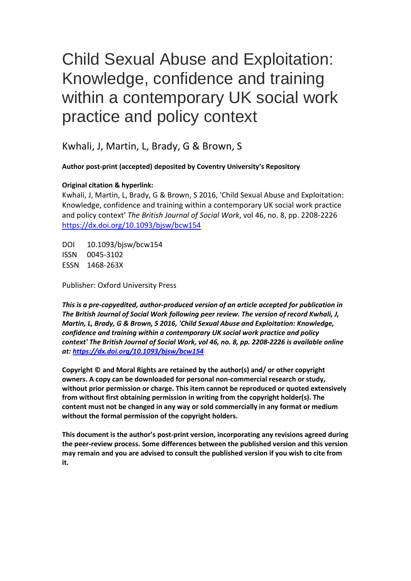# Child Sexual Abuse and Exploitation: Knowledge, confidence and training within a contemporary UK social work practice and policy context

Kwhali, J, Martin, L, Brady, G & Brown, S

**Author post-print (accepted) deposited by Coventry University's Repository**

# **Original citation & hyperlink:**

Kwhali, J, Martin, L, Brady, G & Brown, S 2016, 'Child Sexual Abuse and Exploitation: Knowledge, confidence and training within a contemporary UK social work practice and policy context' *The British Journal of Social Work*, vol 46, no. 8, pp. 2208-2226 <https://dx.doi.org/10.1093/bjsw/bcw154>

DOI 10.1093/bjsw/bcw154 ISSN 0045-3102 ESSN 1468-263X

Publisher: Oxford University Press

*This is a pre-copyedited, author-produced version of an article accepted for publication in The British Journal of Social Work following peer review. The version of record Kwhali, J, Martin, L, Brady, G & Brown, S 2016, 'Child Sexual Abuse and Exploitation: Knowledge, confidence and training within a contemporary UK social work practice and policy context' The British Journal of Social Work, vol 46, no. 8, pp. 2208-2226 is available online at:<https://dx.doi.org/10.1093/bjsw/bcw154>*

**Copyright © and Moral Rights are retained by the author(s) and/ or other copyright owners. A copy can be downloaded for personal non-commercial research or study, without prior permission or charge. This item cannot be reproduced or quoted extensively from without first obtaining permission in writing from the copyright holder(s). The content must not be changed in any way or sold commercially in any format or medium without the formal permission of the copyright holders.** 

**This document is the author's post-print version, incorporating any revisions agreed during the peer-review process. Some differences between the published version and this version may remain and you are advised to consult the published version if you wish to cite from it.**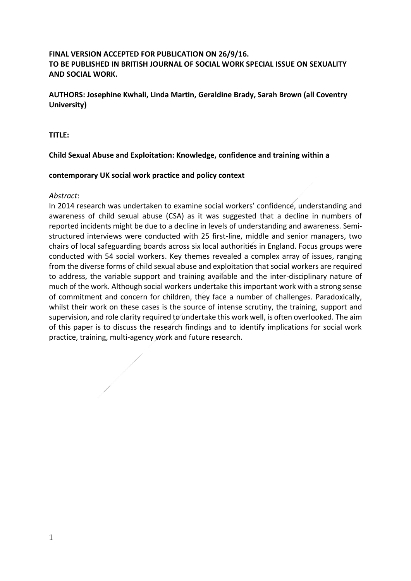# **FINAL VERSION ACCEPTED FOR PUBLICATION ON 26/9/16. TO BE PUBLISHED IN BRITISH JOURNAL OF SOCIAL WORK SPECIAL ISSUE ON SEXUALITY AND SOCIAL WORK.**

**AUTHORS: Josephine Kwhali, Linda Martin, Geraldine Brady, Sarah Brown (all Coventry University)** 

**TITLE:** 

# **Child Sexual Abuse and Exploitation: Knowledge, confidence and training within a**

## **contemporary UK social work practice and policy context**

## *Abstract*:

In 2014 research was undertaken to examine social workers' confidence, understanding and awareness of child sexual abuse (CSA) as it was suggested that a decline in numbers of reported incidents might be due to a decline in levels of understanding and awareness. Semistructured interviews were conducted with 25 first-line, middle and senior managers, two chairs of local safeguarding boards across six local authorities in England. Focus groups were conducted with 54 social workers. Key themes revealed a complex array of issues, ranging from the diverse forms of child sexual abuse and exploitation that social workers are required to address, the variable support and training available and the inter-disciplinary nature of much of the work. Although social workers undertake this important work with a strong sense of commitment and concern for children, they face a number of challenges. Paradoxically, whilst their work on these cases is the source of intense scrutiny, the training, support and supervision, and role clarity required to undertake this work well, is often overlooked. The aim of this paper is to discuss the research findings and to identify implications for social work practice, training, multi-agency work and future research.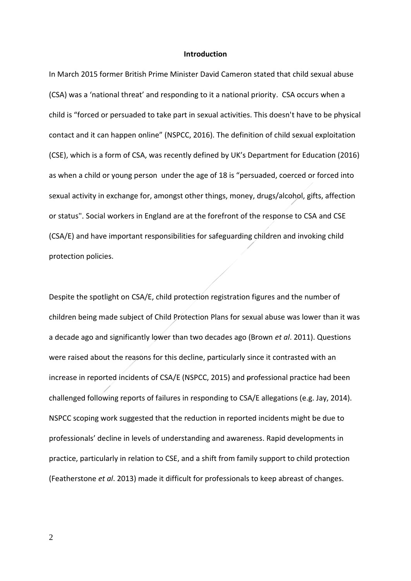#### **Introduction**

In March 2015 former British Prime Minister David Cameron stated that child sexual abuse (CSA) was a 'national threat' and responding to it a national priority. CSA occurs when a child is "forced or persuaded to take part in sexual activities. This doesn't have to be physical contact and it can happen online" (NSPCC, 2016). The definition of child sexual exploitation (CSE), which is a form of CSA, was recently defined by UK's Department for Education (2016) as when a child or young person under the age of 18 is "persuaded, coerced or forced into sexual activity in exchange for, amongst other things, money, drugs/alcohol, gifts, affection or status". Social workers in England are at the forefront of the response to CSA and CSE (CSA/E) and have important responsibilities for safeguarding children and invoking child protection policies.

Despite the spotlight on CSA/E, child protection registration figures and the number of children being made subject of Child Protection Plans for sexual abuse was lower than it was a decade ago and significantly lower than two decades ago (Brown *et al*. 2011). Questions were raised about the reasons for this decline, particularly since it contrasted with an increase in reported incidents of CSA/E (NSPCC, 2015) and professional practice had been challenged following reports of failures in responding to CSA/E allegations (e.g. Jay, 2014). NSPCC scoping work suggested that the reduction in reported incidents might be due to professionals' decline in levels of understanding and awareness. Rapid developments in practice, particularly in relation to CSE, and a shift from family support to child protection (Featherstone *et al*. 2013) made it difficult for professionals to keep abreast of changes.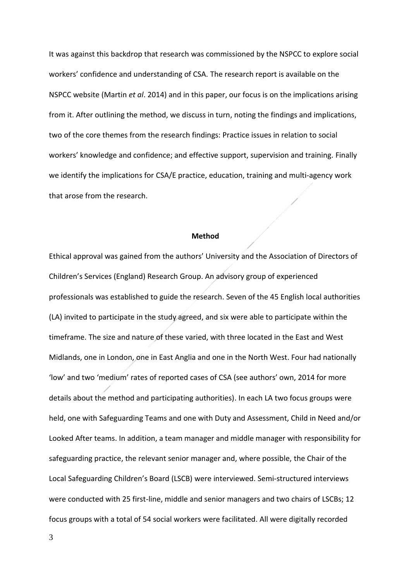It was against this backdrop that research was commissioned by the NSPCC to explore social workers' confidence and understanding of CSA. The research report is available on the NSPCC website (Martin *et al*. 2014) and in this paper, our focus is on the implications arising from it. After outlining the method, we discuss in turn, noting the findings and implications, two of the core themes from the research findings: Practice issues in relation to social workers' knowledge and confidence; and effective support, supervision and training. Finally we identify the implications for CSA/E practice, education, training and multi-agency work that arose from the research.

#### **Method**

Ethical approval was gained from the authors' University and the Association of Directors of Children's Services (England) Research Group. An advisory group of experienced professionals was established to guide the research. Seven of the 45 English local authorities (LA) invited to participate in the study agreed, and six were able to participate within the timeframe. The size and nature of these varied, with three located in the East and West Midlands, one in London, one in East Anglia and one in the North West. Four had nationally 'low' and two 'medium' rates of reported cases of CSA (see authors' own, 2014 for more details about the method and participating authorities). In each LA two focus groups were held, one with Safeguarding Teams and one with Duty and Assessment, Child in Need and/or Looked After teams. In addition, a team manager and middle manager with responsibility for safeguarding practice, the relevant senior manager and, where possible, the Chair of the Local Safeguarding Children's Board (LSCB) were interviewed. Semi-structured interviews were conducted with 25 first-line, middle and senior managers and two chairs of LSCBs; 12 focus groups with a total of 54 social workers were facilitated. All were digitally recorded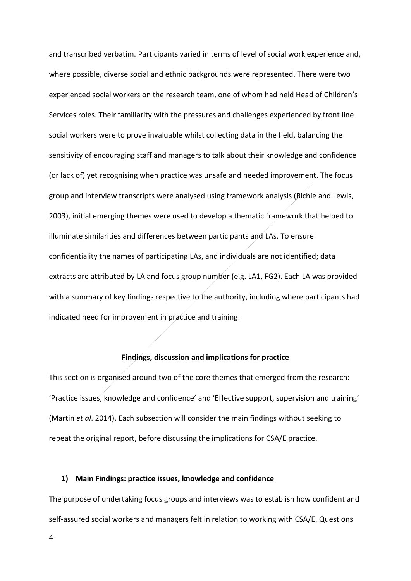and transcribed verbatim. Participants varied in terms of level of social work experience and, where possible, diverse social and ethnic backgrounds were represented. There were two experienced social workers on the research team, one of whom had held Head of Children's Services roles. Their familiarity with the pressures and challenges experienced by front line social workers were to prove invaluable whilst collecting data in the field, balancing the sensitivity of encouraging staff and managers to talk about their knowledge and confidence (or lack of) yet recognising when practice was unsafe and needed improvement. The focus group and interview transcripts were analysed using framework analysis (Richie and Lewis, 2003), initial emerging themes were used to develop a thematic framework that helped to illuminate similarities and differences between participants and LAs. To ensure confidentiality the names of participating LAs, and individuals are not identified; data extracts are attributed by LA and focus group number (e.g. LA1, FG2). Each LA was provided with a summary of key findings respective to the authority, including where participants had indicated need for improvement in practice and training.

#### **Findings, discussion and implications for practice**

This section is organised around two of the core themes that emerged from the research: 'Practice issues, knowledge and confidence' and 'Effective support, supervision and training' (Martin *et al*. 2014). Each subsection will consider the main findings without seeking to repeat the original report, before discussing the implications for CSA/E practice.

## **1) Main Findings: practice issues, knowledge and confidence**

The purpose of undertaking focus groups and interviews was to establish how confident and self-assured social workers and managers felt in relation to working with CSA/E. Questions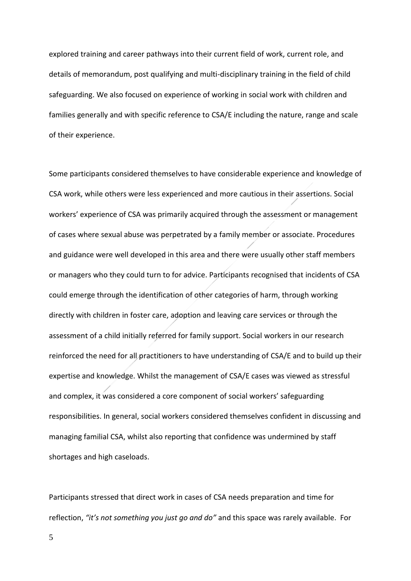explored training and career pathways into their current field of work, current role, and details of memorandum, post qualifying and multi-disciplinary training in the field of child safeguarding. We also focused on experience of working in social work with children and families generally and with specific reference to CSA/E including the nature, range and scale of their experience.

Some participants considered themselves to have considerable experience and knowledge of CSA work, while others were less experienced and more cautious in their assertions. Social workers' experience of CSA was primarily acquired through the assessment or management of cases where sexual abuse was perpetrated by a family member or associate. Procedures and guidance were well developed in this area and there were usually other staff members or managers who they could turn to for advice. Participants recognised that incidents of CSA could emerge through the identification of other categories of harm, through working directly with children in foster care, adoption and leaving care services or through the assessment of a child initially referred for family support. Social workers in our research reinforced the need for all practitioners to have understanding of CSA/E and to build up their expertise and knowledge. Whilst the management of CSA/E cases was viewed as stressful and complex, it was considered a core component of social workers' safeguarding responsibilities. In general, social workers considered themselves confident in discussing and managing familial CSA, whilst also reporting that confidence was undermined by staff shortages and high caseloads.

Participants stressed that direct work in cases of CSA needs preparation and time for reflection, *"it's not something you just go and do"* and this space was rarely available. For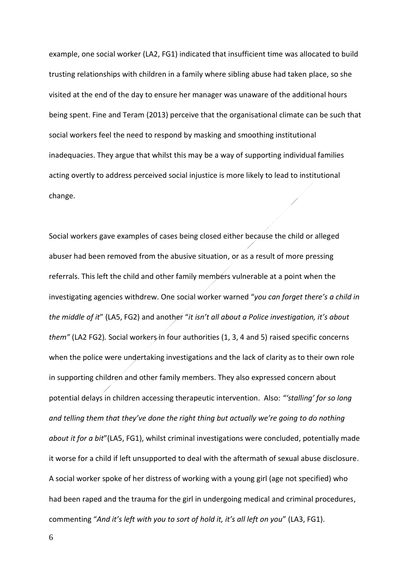example, one social worker (LA2, FG1) indicated that insufficient time was allocated to build trusting relationships with children in a family where sibling abuse had taken place, so she visited at the end of the day to ensure her manager was unaware of the additional hours being spent. Fine and Teram (2013) perceive that the organisational climate can be such that social workers feel the need to respond by masking and smoothing institutional inadequacies. They argue that whilst this may be a way of supporting individual families acting overtly to address perceived social injustice is more likely to lead to institutional change.

Social workers gave examples of cases being closed either because the child or alleged abuser had been removed from the abusive situation, or as a result of more pressing referrals. This left the child and other family members vulnerable at a point when the investigating agencies withdrew. One social worker warned "*you can forget there's a child in the middle of it*" (LA5, FG2) and another "*it isn't all about a Police investigation, it's about them"* (LA2 FG2)*.* Social workers in four authorities (1, 3, 4 and 5) raised specific concerns when the police were undertaking investigations and the lack of clarity as to their own role in supporting children and other family members. They also expressed concern about potential delays in children accessing therapeutic intervention. Also: *"'stalling' for so long and telling them that they've done the right thing but actually we're going to do nothing about it for a bit*"(LA5, FG1), whilst criminal investigations were concluded, potentially made it worse for a child if left unsupported to deal with the aftermath of sexual abuse disclosure. A social worker spoke of her distress of working with a young girl (age not specified) who had been raped and the trauma for the girl in undergoing medical and criminal procedures, commenting "*And it's left with you to sort of hold it, it's all left on you*" (LA3, FG1).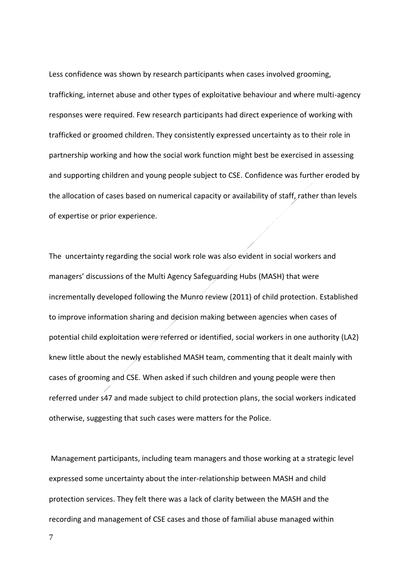Less confidence was shown by research participants when cases involved grooming, trafficking, internet abuse and other types of exploitative behaviour and where multi-agency responses were required. Few research participants had direct experience of working with trafficked or groomed children. They consistently expressed uncertainty as to their role in partnership working and how the social work function might best be exercised in assessing and supporting children and young people subject to CSE. Confidence was further eroded by the allocation of cases based on numerical capacity or availability of staff, rather than levels of expertise or prior experience.

The uncertainty regarding the social work role was also evident in social workers and managers' discussions of the Multi Agency Safeguarding Hubs (MASH) that were incrementally developed following the Munro review (2011) of child protection. Established to improve information sharing and decision making between agencies when cases of potential child exploitation were referred or identified, social workers in one authority (LA2) knew little about the newly established MASH team, commenting that it dealt mainly with cases of grooming and CSE. When asked if such children and young people were then referred under s47 and made subject to child protection plans, the social workers indicated otherwise, suggesting that such cases were matters for the Police.

Management participants, including team managers and those working at a strategic level expressed some uncertainty about the inter-relationship between MASH and child protection services. They felt there was a lack of clarity between the MASH and the recording and management of CSE cases and those of familial abuse managed within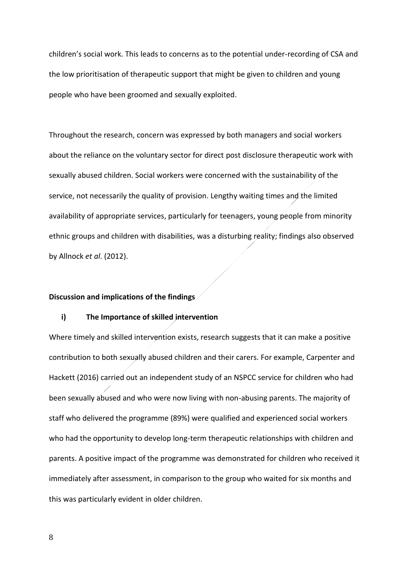children's social work. This leads to concerns as to the potential under-recording of CSA and the low prioritisation of therapeutic support that might be given to children and young people who have been groomed and sexually exploited.

Throughout the research, concern was expressed by both managers and social workers about the reliance on the voluntary sector for direct post disclosure therapeutic work with sexually abused children. Social workers were concerned with the sustainability of the service, not necessarily the quality of provision. Lengthy waiting times and the limited availability of appropriate services, particularly for teenagers, young people from minority ethnic groups and children with disabilities, was a disturbing reality; findings also observed by Allnock *et al*. (2012).

## **Discussion and implications of the findings**

## **i) The Importance of skilled intervention**

Where timely and skilled intervention exists, research suggests that it can make a positive contribution to both sexually abused children and their carers. For example, Carpenter and Hackett (2016) carried out an independent study of an NSPCC service for children who had been sexually abused and who were now living with non-abusing parents. The majority of staff who delivered the programme (89%) were qualified and experienced social workers who had the opportunity to develop long-term therapeutic relationships with children and parents. A positive impact of the programme was demonstrated for children who received it immediately after assessment, in comparison to the group who waited for six months and this was particularly evident in older children.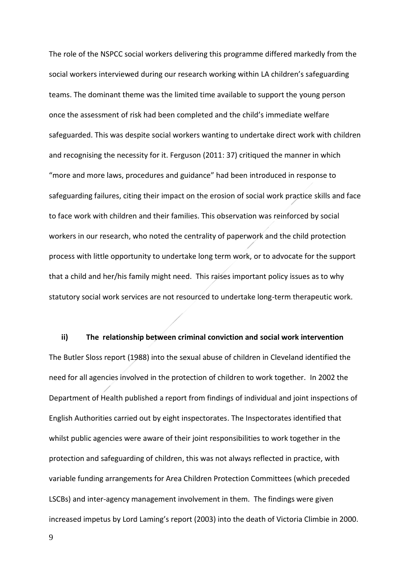The role of the NSPCC social workers delivering this programme differed markedly from the social workers interviewed during our research working within LA children's safeguarding teams. The dominant theme was the limited time available to support the young person once the assessment of risk had been completed and the child's immediate welfare safeguarded. This was despite social workers wanting to undertake direct work with children and recognising the necessity for it. Ferguson (2011: 37) critiqued the manner in which "more and more laws, procedures and guidance" had been introduced in response to safeguarding failures, citing their impact on the erosion of social work practice skills and face to face work with children and their families. This observation was reinforced by social workers in our research, who noted the centrality of paperwork and the child protection process with little opportunity to undertake long term work, or to advocate for the support that a child and her/his family might need. This raises important policy issues as to why statutory social work services are not resourced to undertake long-term therapeutic work.

**ii) The relationship between criminal conviction and social work intervention**  The Butler Sloss report (1988) into the sexual abuse of children in Cleveland identified the need for all agencies involved in the protection of children to work together. In 2002 the Department of Health published a report from findings of individual and joint inspections of English Authorities carried out by eight inspectorates. The Inspectorates identified that whilst public agencies were aware of their joint responsibilities to work together in the protection and safeguarding of children, this was not always reflected in practice, with variable funding arrangements for Area Children Protection Committees (which preceded LSCBs) and inter-agency management involvement in them. The findings were given increased impetus by Lord Laming's report (2003) into the death of Victoria Climbie in 2000.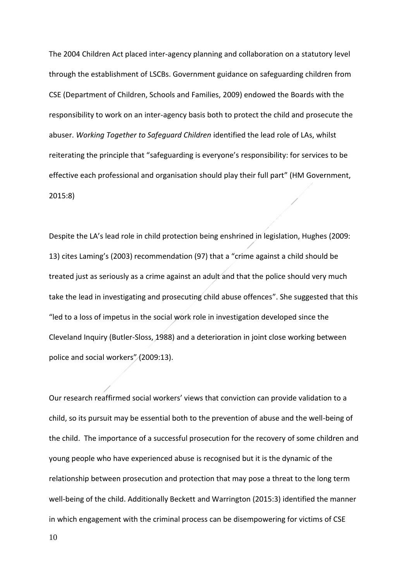The 2004 Children Act placed inter-agency planning and collaboration on a statutory level through the establishment of LSCBs. Government guidance on safeguarding children from CSE (Department of Children, Schools and Families, 2009) endowed the Boards with the responsibility to work on an inter-agency basis both to protect the child and prosecute the abuser. *Working Together to Safeguard Children* identified the lead role of LAs, whilst reiterating the principle that "safeguarding is everyone's responsibility: for services to be effective each professional and organisation should play their full part" (HM Government, 2015:8)

Despite the LA's lead role in child protection being enshrined in legislation, Hughes (2009: 13) cites Laming's (2003) recommendation (97) that a "crime against a child should be treated just as seriously as a crime against an adult and that the police should very much take the lead in investigating and prosecuting child abuse offences". She suggested that this "led to a loss of impetus in the social work role in investigation developed since the Cleveland Inquiry (Butler-Sloss, 1988) and a deterioration in joint close working between police and social workers" (2009:13).

Our research reaffirmed social workers' views that conviction can provide validation to a child, so its pursuit may be essential both to the prevention of abuse and the well-being of the child. The importance of a successful prosecution for the recovery of some children and young people who have experienced abuse is recognised but it is the dynamic of the relationship between prosecution and protection that may pose a threat to the long term well-being of the child. Additionally Beckett and Warrington (2015:3) identified the manner in which engagement with the criminal process can be disempowering for victims of CSE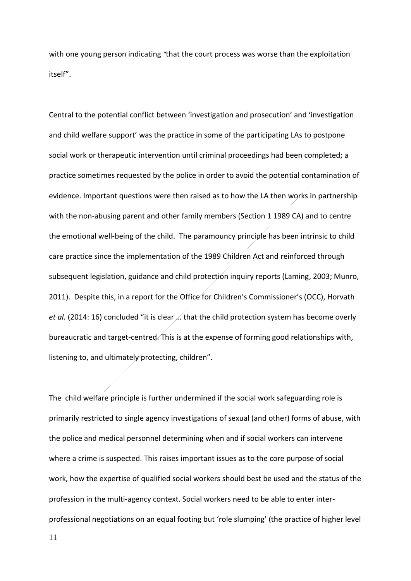with one young person indicating *"*that the court process was worse than the exploitation itself".

Central to the potential conflict between 'investigation and prosecution' and 'investigation and child welfare support' was the practice in some of the participating LAs to postpone social work or therapeutic intervention until criminal proceedings had been completed; a practice sometimes requested by the police in order to avoid the potential contamination of evidence. Important questions were then raised as to how the LA then works in partnership with the non-abusing parent and other family members (Section 1 1989 CA) and to centre the emotional well-being of the child. The paramouncy principle has been intrinsic to child care practice since the implementation of the 1989 Children Act and reinforced through subsequent legislation, guidance and child protection inquiry reports (Laming, 2003; Munro, 2011). Despite this, in a report for the Office for Children's Commissioner's (OCC), Horvath *et al.* (2014: 16) concluded "it is clear … that the child protection system has become overly bureaucratic and target-centred. This is at the expense of forming good relationships with, listening to, and ultimately protecting, children".

The child welfare principle is further undermined if the social work safeguarding role is primarily restricted to single agency investigations of sexual (and other) forms of abuse, with the police and medical personnel determining when and if social workers can intervene where a crime is suspected. This raises important issues as to the core purpose of social work, how the expertise of qualified social workers should best be used and the status of the profession in the multi-agency context. Social workers need to be able to enter interprofessional negotiations on an equal footing but 'role slumping' (the practice of higher level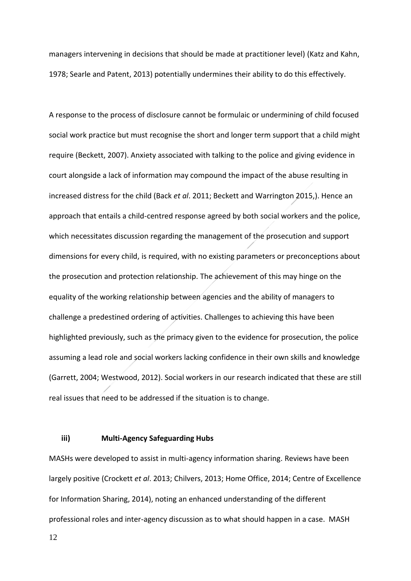managers intervening in decisions that should be made at practitioner level) (Katz and Kahn, 1978; Searle and Patent, 2013) potentially undermines their ability to do this effectively.

A response to the process of disclosure cannot be formulaic or undermining of child focused social work practice but must recognise the short and longer term support that a child might require (Beckett, 2007). Anxiety associated with talking to the police and giving evidence in court alongside a lack of information may compound the impact of the abuse resulting in increased distress for the child (Back *et al*. 2011; Beckett and Warrington 2015,). Hence an approach that entails a child-centred response agreed by both social workers and the police, which necessitates discussion regarding the management of the prosecution and support dimensions for every child, is required, with no existing parameters or preconceptions about the prosecution and protection relationship. The achievement of this may hinge on the equality of the working relationship between agencies and the ability of managers to challenge a predestined ordering of activities. Challenges to achieving this have been highlighted previously, such as the primacy given to the evidence for prosecution, the police assuming a lead role and social workers lacking confidence in their own skills and knowledge (Garrett, 2004; Westwood, 2012). Social workers in our research indicated that these are still real issues that need to be addressed if the situation is to change.

## **iii) Multi-Agency Safeguarding Hubs**

MASHs were developed to assist in multi-agency information sharing. Reviews have been largely positive (Crockett *et al*. 2013; Chilvers, 2013; Home Office, 2014; Centre of Excellence for Information Sharing, 2014), noting an enhanced understanding of the different professional roles and inter-agency discussion as to what should happen in a case. MASH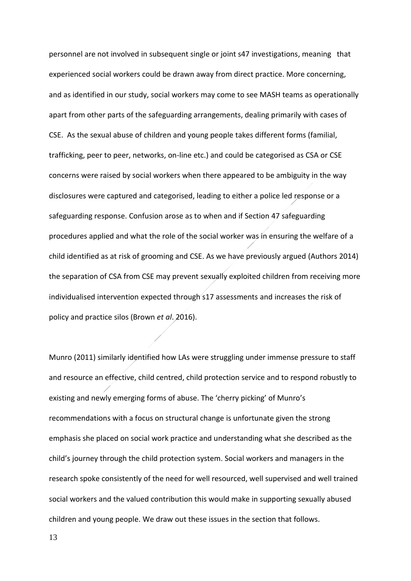personnel are not involved in subsequent single or joint s47 investigations, meaning that experienced social workers could be drawn away from direct practice. More concerning, and as identified in our study, social workers may come to see MASH teams as operationally apart from other parts of the safeguarding arrangements, dealing primarily with cases of CSE. As the sexual abuse of children and young people takes different forms (familial, trafficking, peer to peer, networks, on-line etc.) and could be categorised as CSA or CSE concerns were raised by social workers when there appeared to be ambiguity in the way disclosures were captured and categorised, leading to either a police led response or a safeguarding response. Confusion arose as to when and if Section 47 safeguarding procedures applied and what the role of the social worker was in ensuring the welfare of a child identified as at risk of grooming and CSE. As we have previously argued (Authors 2014) the separation of CSA from CSE may prevent sexually exploited children from receiving more individualised intervention expected through s17 assessments and increases the risk of policy and practice silos (Brown *et al*. 2016).

Munro (2011) similarly identified how LAs were struggling under immense pressure to staff and resource an effective, child centred, child protection service and to respond robustly to existing and newly emerging forms of abuse. The 'cherry picking' of Munro's recommendations with a focus on structural change is unfortunate given the strong emphasis she placed on social work practice and understanding what she described as the child's journey through the child protection system. Social workers and managers in the research spoke consistently of the need for well resourced, well supervised and well trained social workers and the valued contribution this would make in supporting sexually abused children and young people. We draw out these issues in the section that follows.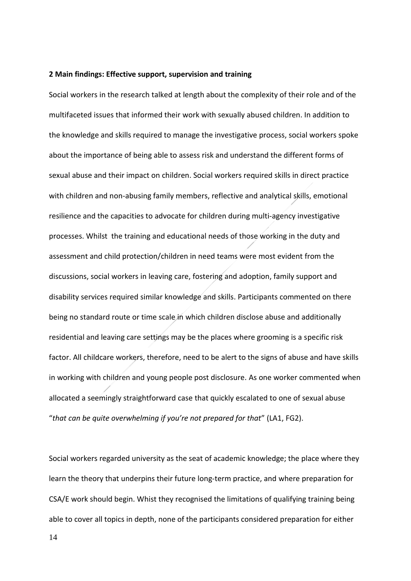#### **2 Main findings: Effective support, supervision and training**

Social workers in the research talked at length about the complexity of their role and of the multifaceted issues that informed their work with sexually abused children. In addition to the knowledge and skills required to manage the investigative process, social workers spoke about the importance of being able to assess risk and understand the different forms of sexual abuse and their impact on children. Social workers required skills in direct practice with children and non-abusing family members, reflective and analytical skills, emotional resilience and the capacities to advocate for children during multi-agency investigative processes. Whilst the training and educational needs of those working in the duty and assessment and child protection/children in need teams were most evident from the discussions, social workers in leaving care, fostering and adoption, family support and disability services required similar knowledge and skills. Participants commented on there being no standard route or time scale in which children disclose abuse and additionally residential and leaving care settings may be the places where grooming is a specific risk factor. All childcare workers, therefore, need to be alert to the signs of abuse and have skills in working with children and young people post disclosure. As one worker commented when allocated a seemingly straightforward case that quickly escalated to one of sexual abuse "*that can be quite overwhelming if you're not prepared for that*" (LA1, FG2).

Social workers regarded university as the seat of academic knowledge; the place where they learn the theory that underpins their future long-term practice, and where preparation for CSA/E work should begin. Whist they recognised the limitations of qualifying training being able to cover all topics in depth, none of the participants considered preparation for either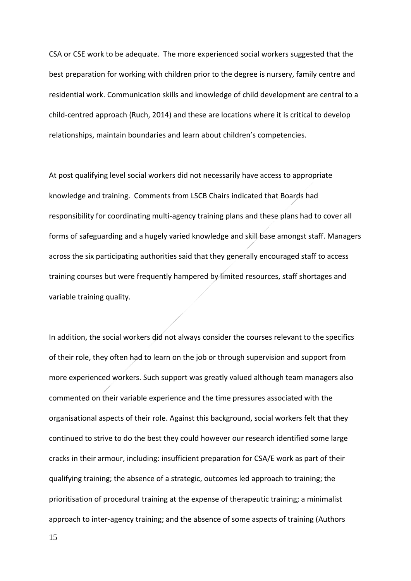CSA or CSE work to be adequate. The more experienced social workers suggested that the best preparation for working with children prior to the degree is nursery, family centre and residential work. Communication skills and knowledge of child development are central to a child-centred approach (Ruch, 2014) and these are locations where it is critical to develop relationships, maintain boundaries and learn about children's competencies.

At post qualifying level social workers did not necessarily have access to appropriate knowledge and training. Comments from LSCB Chairs indicated that Boards had responsibility for coordinating multi-agency training plans and these plans had to cover all forms of safeguarding and a hugely varied knowledge and skill base amongst staff. Managers across the six participating authorities said that they generally encouraged staff to access training courses but were frequently hampered by limited resources, staff shortages and variable training quality.

In addition, the social workers did not always consider the courses relevant to the specifics of their role, they often had to learn on the job or through supervision and support from more experienced workers. Such support was greatly valued although team managers also commented on their variable experience and the time pressures associated with the organisational aspects of their role. Against this background, social workers felt that they continued to strive to do the best they could however our research identified some large cracks in their armour, including: insufficient preparation for CSA/E work as part of their qualifying training; the absence of a strategic, outcomes led approach to training; the prioritisation of procedural training at the expense of therapeutic training; a minimalist approach to inter-agency training; and the absence of some aspects of training (Authors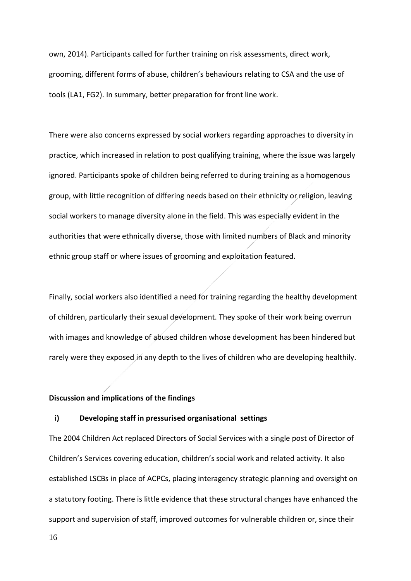own, 2014). Participants called for further training on risk assessments, direct work, grooming, different forms of abuse, children's behaviours relating to CSA and the use of tools (LA1, FG2). In summary, better preparation for front line work.

There were also concerns expressed by social workers regarding approaches to diversity in practice, which increased in relation to post qualifying training, where the issue was largely ignored. Participants spoke of children being referred to during training as a homogenous group, with little recognition of differing needs based on their ethnicity or religion, leaving social workers to manage diversity alone in the field. This was especially evident in the authorities that were ethnically diverse, those with limited numbers of Black and minority ethnic group staff or where issues of grooming and exploitation featured.

Finally, social workers also identified a need for training regarding the healthy development of children, particularly their sexual development. They spoke of their work being overrun with images and knowledge of abused children whose development has been hindered but rarely were they exposed in any depth to the lives of children who are developing healthily.

## **Discussion and implications of the findings**

## **i) Developing staff in pressurised organisational settings**

The 2004 Children Act replaced Directors of Social Services with a single post of Director of Children's Services covering education, children's social work and related activity. It also established LSCBs in place of ACPCs, placing interagency strategic planning and oversight on a statutory footing. There is little evidence that these structural changes have enhanced the support and supervision of staff, improved outcomes for vulnerable children or, since their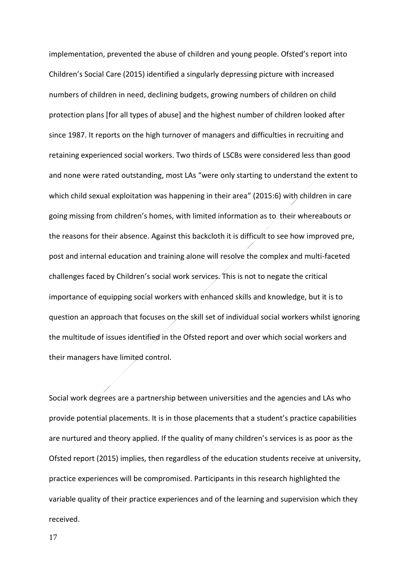implementation, prevented the abuse of children and young people. Ofsted's report into Children's Social Care (2015) identified a singularly depressing picture with increased numbers of children in need, declining budgets, growing numbers of children on child protection plans [for all types of abuse] and the highest number of children looked after since 1987. It reports on the high turnover of managers and difficulties in recruiting and retaining experienced social workers. Two thirds of LSCBs were considered less than good and none were rated outstanding, most LAs "were only starting to understand the extent to which child sexual exploitation was happening in their area" (2015:6) with children in care going missing from children's homes, with limited information as to their whereabouts or the reasons for their absence. Against this backcloth it is difficult to see how improved pre, post and internal education and training alone will resolve the complex and multi-faceted challenges faced by Children's social work services. This is not to negate the critical importance of equipping social workers with enhanced skills and knowledge, but it is to question an approach that focuses on the skill set of individual social workers whilst ignoring the multitude of issues identified in the Ofsted report and over which social workers and their managers have limited control.

Social work degrees are a partnership between universities and the agencies and LAs who provide potential placements. It is in those placements that a student's practice capabilities are nurtured and theory applied. If the quality of many children's services is as poor as the Ofsted report (2015) implies, then regardless of the education students receive at university, practice experiences will be compromised. Participants in this research highlighted the variable quality of their practice experiences and of the learning and supervision which they received.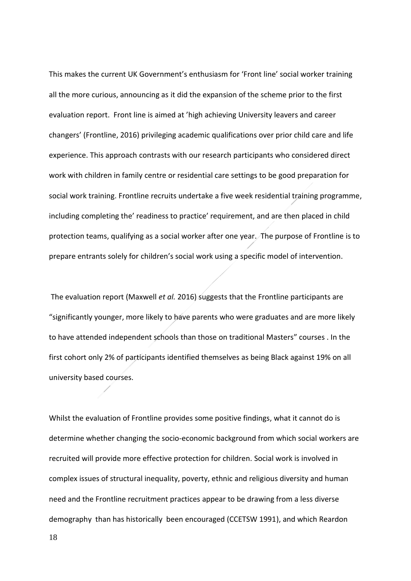This makes the current UK Government's enthusiasm for 'Front line' social worker training all the more curious, announcing as it did the expansion of the scheme prior to the first evaluation report. Front line is aimed at 'high achieving University leavers and career changers' (Frontline, 2016) privileging academic qualifications over prior child care and life experience. This approach contrasts with our research participants who considered direct work with children in family centre or residential care settings to be good preparation for social work training. Frontline recruits undertake a five week residential training programme, including completing the' readiness to practice' requirement, and are then placed in child protection teams, qualifying as a social worker after one year. The purpose of Frontline is to prepare entrants solely for children's social work using a specific model of intervention.

The evaluation report (Maxwell *et al.* 2016) suggests that the Frontline participants are "significantly younger, more likely to have parents who were graduates and are more likely to have attended independent schools than those on traditional Masters" courses . In the first cohort only 2% of participants identified themselves as being Black against 19% on all university based courses.

Whilst the evaluation of Frontline provides some positive findings, what it cannot do is determine whether changing the socio-economic background from which social workers are recruited will provide more effective protection for children. Social work is involved in complex issues of structural inequality, poverty, ethnic and religious diversity and human need and the Frontline recruitment practices appear to be drawing from a less diverse demography than has historically been encouraged (CCETSW 1991), and which Reardon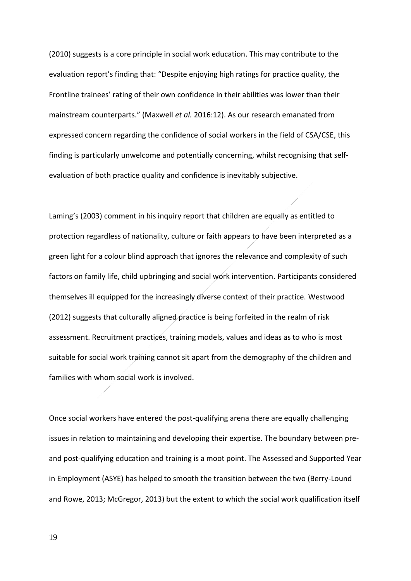(2010) suggests is a core principle in social work education. This may contribute to the evaluation report's finding that: "Despite enjoying high ratings for practice quality, the Frontline trainees' rating of their own confidence in their abilities was lower than their mainstream counterparts." (Maxwell *et al.* 2016:12). As our research emanated from expressed concern regarding the confidence of social workers in the field of CSA/CSE, this finding is particularly unwelcome and potentially concerning, whilst recognising that selfevaluation of both practice quality and confidence is inevitably subjective.

Laming's (2003) comment in his inquiry report that children are equally as entitled to protection regardless of nationality, culture or faith appears to have been interpreted as a green light for a colour blind approach that ignores the relevance and complexity of such factors on family life, child upbringing and social work intervention. Participants considered themselves ill equipped for the increasingly diverse context of their practice. Westwood (2012) suggests that culturally aligned practice is being forfeited in the realm of risk assessment. Recruitment practices, training models, values and ideas as to who is most suitable for social work training cannot sit apart from the demography of the children and families with whom social work is involved.

Once social workers have entered the post-qualifying arena there are equally challenging issues in relation to maintaining and developing their expertise. The boundary between preand post-qualifying education and training is a moot point. The Assessed and Supported Year in Employment (ASYE) has helped to smooth the transition between the two (Berry-Lound and Rowe, 2013; McGregor, 2013) but the extent to which the social work qualification itself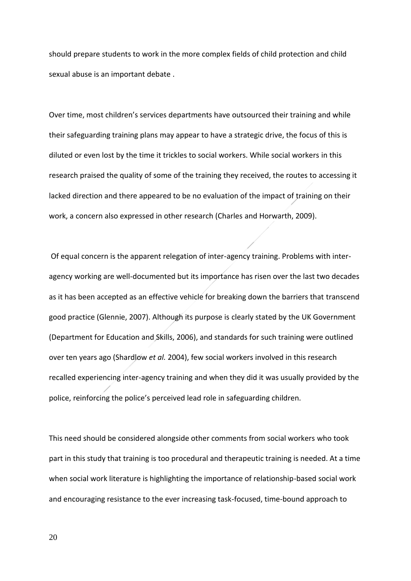should prepare students to work in the more complex fields of child protection and child sexual abuse is an important debate .

Over time, most children's services departments have outsourced their training and while their safeguarding training plans may appear to have a strategic drive, the focus of this is diluted or even lost by the time it trickles to social workers. While social workers in this research praised the quality of some of the training they received, the routes to accessing it lacked direction and there appeared to be no evaluation of the impact of training on their work, a concern also expressed in other research (Charles and Horwarth, 2009).

Of equal concern is the apparent relegation of inter-agency training. Problems with interagency working are well-documented but its importance has risen over the last two decades as it has been accepted as an effective vehicle for breaking down the barriers that transcend good practice (Glennie, 2007). Although its purpose is clearly stated by the UK Government (Department for Education and Skills, 2006), and standards for such training were outlined over ten years ago (Shardlow *et al.* 2004), few social workers involved in this research recalled experiencing inter-agency training and when they did it was usually provided by the police, reinforcing the police's perceived lead role in safeguarding children.

This need should be considered alongside other comments from social workers who took part in this study that training is too procedural and therapeutic training is needed. At a time when social work literature is highlighting the importance of relationship-based social work and encouraging resistance to the ever increasing task-focused, time-bound approach to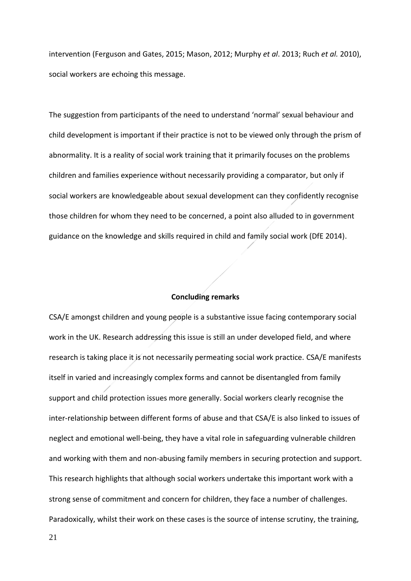intervention (Ferguson and Gates, 2015; Mason, 2012; Murphy *et al*. 2013; Ruch *et al.* 2010), social workers are echoing this message.

The suggestion from participants of the need to understand 'normal' sexual behaviour and child development is important if their practice is not to be viewed only through the prism of abnormality. It is a reality of social work training that it primarily focuses on the problems children and families experience without necessarily providing a comparator, but only if social workers are knowledgeable about sexual development can they confidently recognise those children for whom they need to be concerned, a point also alluded to in government guidance on the knowledge and skills required in child and family social work (DfE 2014).

#### **Concluding remarks**

CSA/E amongst children and young people is a substantive issue facing contemporary social work in the UK. Research addressing this issue is still an under developed field, and where research is taking place it is not necessarily permeating social work practice. CSA/E manifests itself in varied and increasingly complex forms and cannot be disentangled from family support and child protection issues more generally. Social workers clearly recognise the inter-relationship between different forms of abuse and that CSA/E is also linked to issues of neglect and emotional well-being, they have a vital role in safeguarding vulnerable children and working with them and non-abusing family members in securing protection and support. This research highlights that although social workers undertake this important work with a strong sense of commitment and concern for children, they face a number of challenges. Paradoxically, whilst their work on these cases is the source of intense scrutiny, the training,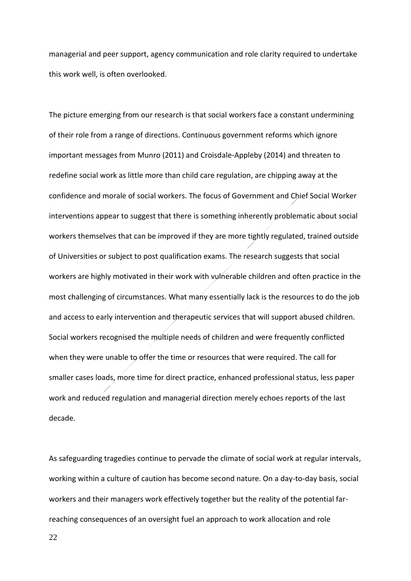managerial and peer support, agency communication and role clarity required to undertake this work well, is often overlooked.

The picture emerging from our research is that social workers face a constant undermining of their role from a range of directions. Continuous government reforms which ignore important messages from Munro (2011) and Croisdale-Appleby (2014) and threaten to redefine social work as little more than child care regulation, are chipping away at the confidence and morale of social workers. The focus of Government and Chief Social Worker interventions appear to suggest that there is something inherently problematic about social workers themselves that can be improved if they are more tightly regulated, trained outside of Universities or subject to post qualification exams. The research suggests that social workers are highly motivated in their work with vulnerable children and often practice in the most challenging of circumstances. What many essentially lack is the resources to do the job and access to early intervention and therapeutic services that will support abused children. Social workers recognised the multiple needs of children and were frequently conflicted when they were unable to offer the time or resources that were required. The call for smaller cases loads, more time for direct practice, enhanced professional status, less paper work and reduced regulation and managerial direction merely echoes reports of the last decade.

As safeguarding tragedies continue to pervade the climate of social work at regular intervals, working within a culture of caution has become second nature. On a day-to-day basis, social workers and their managers work effectively together but the reality of the potential farreaching consequences of an oversight fuel an approach to work allocation and role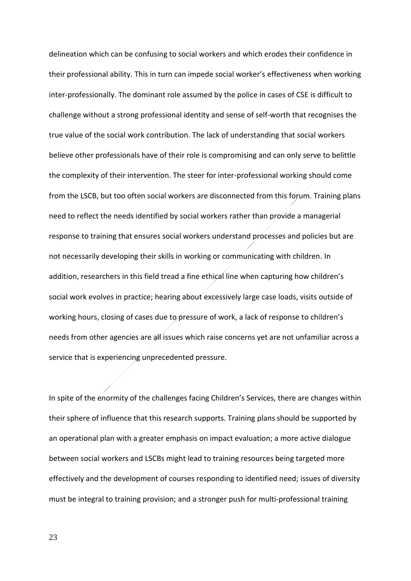delineation which can be confusing to social workers and which erodes their confidence in their professional ability. This in turn can impede social worker's effectiveness when working inter-professionally. The dominant role assumed by the police in cases of CSE is difficult to challenge without a strong professional identity and sense of self-worth that recognises the true value of the social work contribution. The lack of understanding that social workers believe other professionals have of their role is compromising and can only serve to belittle the complexity of their intervention. The steer for inter-professional working should come from the LSCB, but too often social workers are disconnected from this forum. Training plans need to reflect the needs identified by social workers rather than provide a managerial response to training that ensures social workers understand processes and policies but are not necessarily developing their skills in working or communicating with children. In addition, researchers in this field tread a fine ethical line when capturing how children's social work evolves in practice; hearing about excessively large case loads, visits outside of working hours, closing of cases due to pressure of work, a lack of response to children's needs from other agencies are all issues which raise concerns yet are not unfamiliar across a service that is experiencing unprecedented pressure.

In spite of the enormity of the challenges facing Children's Services, there are changes within their sphere of influence that this research supports. Training plans should be supported by an operational plan with a greater emphasis on impact evaluation; a more active dialogue between social workers and LSCBs might lead to training resources being targeted more effectively and the development of courses responding to identified need; issues of diversity must be integral to training provision; and a stronger push for multi-professional training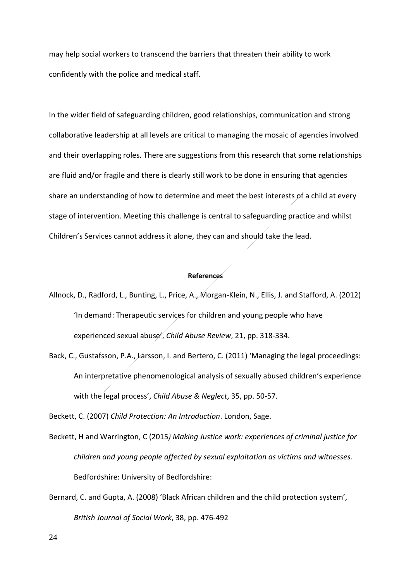may help social workers to transcend the barriers that threaten their ability to work confidently with the police and medical staff.

In the wider field of safeguarding children, good relationships, communication and strong collaborative leadership at all levels are critical to managing the mosaic of agencies involved and their overlapping roles. There are suggestions from this research that some relationships are fluid and/or fragile and there is clearly still work to be done in ensuring that agencies share an understanding of how to determine and meet the best interests of a child at every stage of intervention. Meeting this challenge is central to safeguarding practice and whilst Children's Services cannot address it alone, they can and should take the lead.

## **References**

- Allnock, D., Radford, L., Bunting, L., Price, A., Morgan-Klein, N., Ellis, J. and Stafford, A. (2012) 'In demand: Therapeutic services for children and young people who have experienced sexual abuse', *Child Abuse Review*, 21, pp. 318-334.
- Back, C., Gustafsson, P.A., Larsson, I. and Bertero, C. (2011) 'Managing the legal proceedings: An interpretative phenomenological analysis of sexually abused children's experience with the legal process', *Child Abuse & Neglect*, 35, pp. 50-57.

Beckett, C. (2007) *Child Protection: An Introduction*. London, Sage.

- Beckett, H and Warrington, C (2015*) Making Justice work: experiences of criminal justice for children and young people affected by sexual exploitation as victims and witnesses.* Bedfordshire: University of Bedfordshire:
- Bernard, C. and Gupta, A. (2008) 'Black African children and the child protection system', *British Journal of Social Work*, 38, pp. 476-492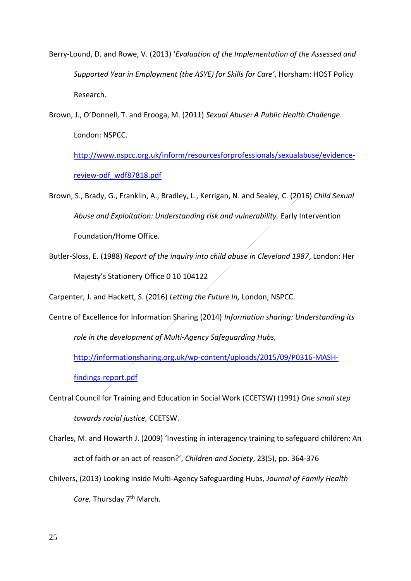- Berry-Lound, D. and Rowe, V. (2013) '*Evaluation of the Implementation of the Assessed and Supported Year in Employment (the ASYE) for Skills for Care'*, Horsham: HOST Policy Research.
- Brown, J., O'Donnell, T. and Erooga, M. (2011) *Sexual Abuse: A Public Health Challenge*. London: NSPCC.

[http://www.nspcc.org.uk/inform/resourcesforprofessionals/sexualabuse/evidence](http://www.nspcc.org.uk/inform/resourcesforprofessionals/sexualabuse/evidence-review-pdf_wdf87818.pdf)[review-pdf\\_wdf87818.pdf](http://www.nspcc.org.uk/inform/resourcesforprofessionals/sexualabuse/evidence-review-pdf_wdf87818.pdf)

- Brown, S., Brady, G., Franklin, A., Bradley, L., Kerrigan, N. and Sealey, C. (2016) *Child Sexual Abuse and Exploitation: Understanding risk and vulnerability.* Early Intervention Foundation/Home Office.
- Butler-Sloss, E. (1988) *Report of the inquiry into child abuse in Cleveland 1987*, London: Her Majesty's Stationery Office 0 10 104122

Carpenter, J. and Hackett, S. (2016) *Letting the Future In,* London, NSPCC.

Centre of Excellence for Information Sharing (2014) *Information sharing: Understanding its role in the development of Multi-Agency Safeguarding Hubs,* 

[http://informationsharing.org.uk/wp-content/uploads/2015/09/P0316-MASH-](http://informationsharing.org.uk/wp-content/uploads/2015/09/P0316-MASH-findings-report.pdf)

[findings-report.pdf](http://informationsharing.org.uk/wp-content/uploads/2015/09/P0316-MASH-findings-report.pdf)

- Central Council for Training and Education in Social Work (CCETSW) (1991) *One small step towards racial justice,* CCETSW.
- Charles, M. and Howarth J. (2009) 'Investing in interagency training to safeguard children: An act of faith or an act of reason?', *Children and Society*, 23(5), pp. 364-376
- Chilvers, (2013) Looking inside Multi-Agency Safeguarding Hubs*, Journal of Family Health Care,* Thursday 7th March.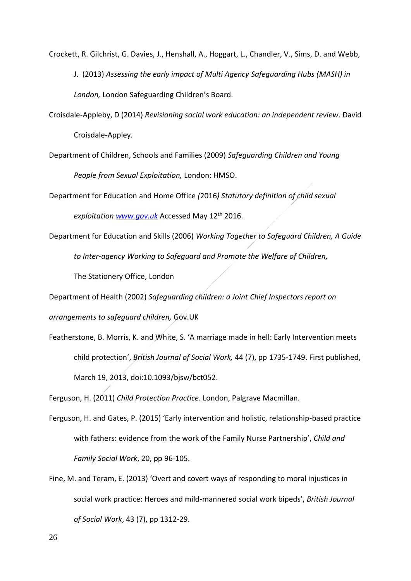Crockett, R. Gilchrist, G. Davies, J., Henshall, A., Hoggart, L., Chandler, V., Sims, D. and Webb,

J. (2013) *Assessing the early impact of Multi Agency Safeguarding Hubs (MASH) in London,* London Safeguarding Children's Board.

Croisdale-Appleby, D (2014) *Revisioning social work education: an independent review*. David Croisdale-Appley.

Department of Children, Schools and Families (2009) *Safeguarding Children and Young People from Sexual Exploitation,* London: HMSO.

Department for Education and Home Office *(*2016*) Statutory definition of child sexual*

*exploitation [www.gov.uk](http://www.gov.uk/)* Accessed May 12th 2016.

Department for Education and Skills (2006) *Working Together to Safeguard Children, A Guide to Inter-agency Working to Safeguard and Promote the Welfare of Children,*

The Stationery Office, London

Department of Health (2002) *Safeguarding children: a Joint Chief Inspectors report on* 

*arrangements to safeguard children,* Gov.UK

Featherstone, B. Morris, K. and White, S. 'A marriage made in hell: Early Intervention meets child protection', *British Journal of Social Work,* 44 (7), pp 1735-1749. First published, March 19, 2013, doi:10.1093/bjsw/bct052.

Ferguson, H. (2011) *Child Protection Practice*. London, Palgrave Macmillan.

- Ferguson, H. and Gates, P. (2015) 'Early intervention and holistic, relationship-based practice with fathers: evidence from the work of the Family Nurse Partnership', *Child and Family Social Work*, 20, pp 96-105.
- Fine, M. and Teram, E. (2013) 'Overt and covert ways of responding to moral injustices in social work practice: Heroes and mild-mannered social work bipeds', *British Journal of Social Work*, 43 (7), pp 1312-29.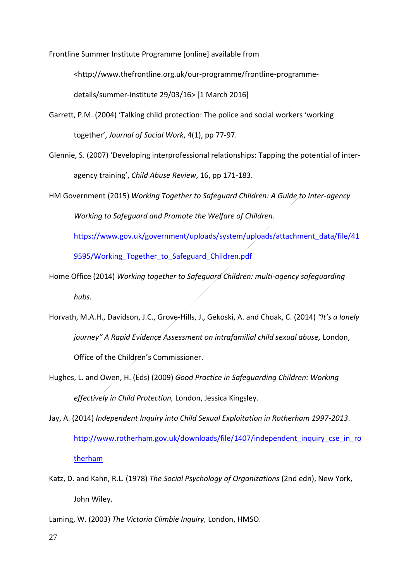Frontline Summer Institute Programme [online] available from

<http://www.thefrontline.org.uk/our-programme/frontline-programme-

details/summer-institute 29/03/16> [1 March 2016]

- Garrett, P.M. (2004) 'Talking child protection: The police and social workers 'working together', *Journal of Social Work*, 4(1), pp 77-97.
- Glennie, S. (2007) 'Developing interprofessional relationships: Tapping the potential of interagency training', *Child Abuse Review*, 16, pp 171-183.
- HM Government (2015) *Working Together to Safeguard Children: A Guide to Inter-agency Working to Safeguard and Promote the Welfare of Children*.

[https://www.gov.uk/government/uploads/system/uploads/attachment\\_data/file/41](https://www.gov.uk/government/uploads/system/uploads/attachment_data/file/419595/Working_Together_to_Safeguard_Children.pdf) 9595/Working Together to Safeguard Children.pdf

Home Office (2014) *Working together to Safeguard Children: multi-agency safeguarding hubs.* 

- Horvath, M.A.H., Davidson, J.C., Grove-Hills, J., Gekoski, A. and Choak, C. (2014) *"It's a lonely journey" A Rapid Evidence Assessment on intrafamilial child sexual abuse,* London, Office of the Children's Commissioner.
- Hughes, L. and Owen, H. (Eds) (2009) *Good Practice in Safeguarding Children: Working effectively in Child Protection,* London, Jessica Kingsley.
- Jay, A. (2014) *Independent Inquiry into Child Sexual Exploitation in Rotherham 1997-2013*. [http://www.rotherham.gov.uk/downloads/file/1407/independent\\_inquiry\\_cse\\_in\\_ro](http://www.rotherham.gov.uk/downloads/file/1407/independent_inquiry_cse_in_rotherham) [therham](http://www.rotherham.gov.uk/downloads/file/1407/independent_inquiry_cse_in_rotherham)
- Katz, D. and Kahn, R.L. (1978) *The Social Psychology of Organizations* (2nd edn), New York, John Wiley.

Laming, W. (2003) *The Victoria Climbie Inquiry,* London, HMSO.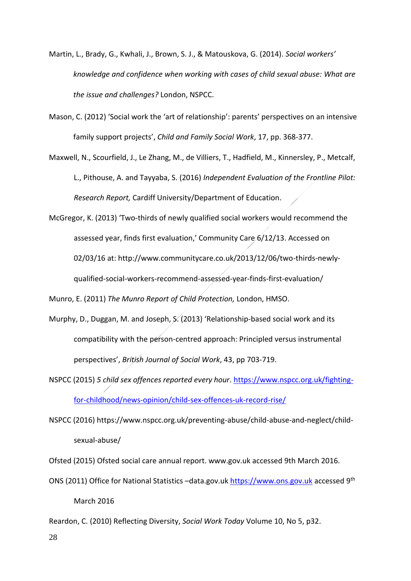- Martin, L., Brady, G., Kwhali, J., Brown, S. J., & Matouskova, G. (2014). *Social workers' knowledge and confidence when working with cases of child sexual abuse: What are the issue and challenges?* London, NSPCC.
- Mason, C. (2012) 'Social work the 'art of relationship': parents' perspectives on an intensive family support projects', *Child and Family Social Work*, 17, pp. 368-377.

Maxwell, N., Scourfield, J., Le Zhang, M., de Villiers, T., Hadfield, M., Kinnersley, P., Metcalf, L., Pithouse, A. and Tayyaba, S. (2016) *Independent Evaluation of the Frontline Pilot: Research Report,* Cardiff University/Department of Education.

McGregor, K. (2013) 'Two-thirds of newly qualified social workers would recommend the assessed year, finds first evaluation,' Community Care 6/12/13. Accessed on 02/03/16 at: http://www.communitycare.co.uk/2013/12/06/two-thirds-newlyqualified-social-workers-recommend-assessed-year-finds-first-evaluation/

Munro, E. (2011) *The Munro Report of Child Protection,* London, HMSO.

- Murphy, D., Duggan, M. and Joseph, S. (2013) 'Relationship-based social work and its compatibility with the person-centred approach: Principled versus instrumental perspectives', *British Journal of Social Work*, 43, pp 703-719.
- NSPCC (2015) *5 child sex offences reported every hour*. [https://www.nspcc.org.uk/fighting](https://www.nspcc.org.uk/fighting-for-childhood/news-opinion/child-sex-offences-uk-record-rise/)[for-childhood/news-opinion/child-sex-offences-uk-record-rise/](https://www.nspcc.org.uk/fighting-for-childhood/news-opinion/child-sex-offences-uk-record-rise/)
- NSPCC (2016) https://www.nspcc.org.uk/preventing-abuse/child-abuse-and-neglect/childsexual-abuse/

Ofsted (2015) Ofsted social care annual report. www.gov.uk accessed 9th March 2016.

- ONS (2011) Office for National Statistics -data.gov.uk [https://www.ons.gov.uk](https://www.ons.gov.uk/) accessed 9th March 2016
- Reardon, C. (2010) Reflecting Diversity, *Social Work Today* Volume 10, No 5, p32.